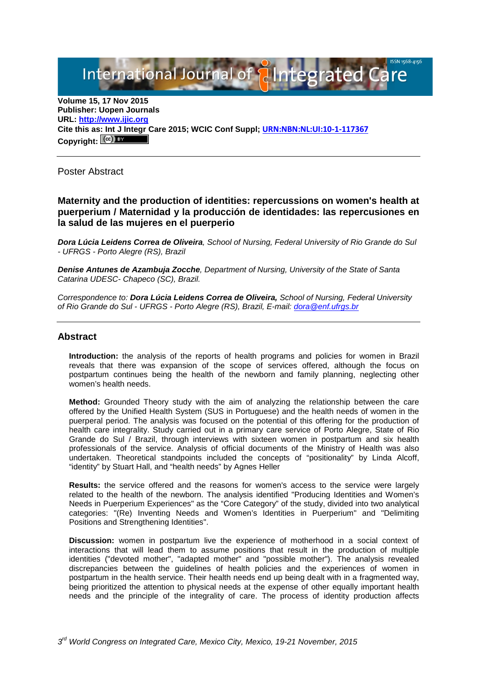# International Journal of **Plntegrated Ca**

**Volume 15, 17 Nov 2015 Publisher: Uopen Journals URL: [http://www.ijic.org](http://www.ijic.org/) Cite this as: Int J Integr Care 2015; WCIC Conf Suppl; [URN:NBN:NL:UI:10-1-117367](http://persistent-identifier.nl/?identifier=URN:NBN:NL:UI:10-1-117367) Copyright:**

Poster Abstract

**Maternity and the production of identities: repercussions on women's health at puerperium / Maternidad y la producción de identidades: las repercusiones en la salud de las mujeres en el puerperio**

*Dora Lúcia Leidens Correa de Oliveira, School of Nursing, Federal University of Rio Grande do Sul - UFRGS - Porto Alegre (RS), Brazil*

*Denise Antunes de Azambuja Zocche, Department of Nursing, University of the State of Santa Catarina UDESC- Chapeco (SC), Brazil.*

*Correspondence to: Dora Lúcia Leidens Correa de Oliveira, School of Nursing, Federal University of Rio Grande do Sul - UFRGS - Porto Alegre (RS), Brazil, E-mail: [dora@enf.ufrgs.br](mailto:dora@enf.ufrgs.br)*

#### **Abstract**

**Introduction:** the analysis of the reports of health programs and policies for women in Brazil reveals that there was expansion of the scope of services offered, although the focus on postpartum continues being the health of the newborn and family planning, neglecting other women's health needs.

**Method:** Grounded Theory study with the aim of analyzing the relationship between the care offered by the Unified Health System (SUS in Portuguese) and the health needs of women in the puerperal period. The analysis was focused on the potential of this offering for the production of health care integrality. Study carried out in a primary care service of Porto Alegre, State of Rio Grande do Sul / Brazil, through interviews with sixteen women in postpartum and six health professionals of the service. Analysis of official documents of the Ministry of Health was also undertaken. Theoretical standpoints included the concepts of "positionality" by Linda Alcoff, "identity" by Stuart Hall, and "health needs" by Agnes Heller

**Results:** the service offered and the reasons for women's access to the service were largely related to the health of the newborn. The analysis identified "Producing Identities and Women's Needs in Puerperium Experiences" as the "Core Category" of the study, divided into two analytical categories: "(Re) Inventing Needs and Women's Identities in Puerperium" and "Delimiting Positions and Strengthening Identities".

**Discussion:** women in postpartum live the experience of motherhood in a social context of interactions that will lead them to assume positions that result in the production of multiple identities ("devoted mother", "adapted mother" and "possible mother"). The analysis revealed discrepancies between the guidelines of health policies and the experiences of women in postpartum in the health service. Their health needs end up being dealt with in a fragmented way, being prioritized the attention to physical needs at the expense of other equally important health needs and the principle of the integrality of care. The process of identity production affects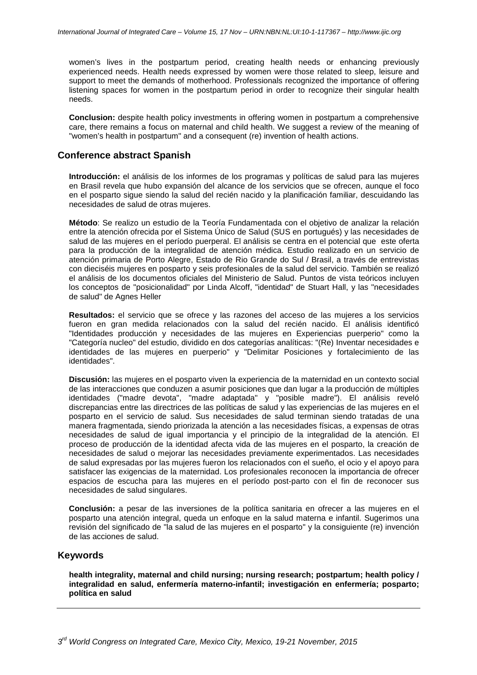women's lives in the postpartum period, creating health needs or enhancing previously experienced needs. Health needs expressed by women were those related to sleep, leisure and support to meet the demands of motherhood. Professionals recognized the importance of offering listening spaces for women in the postpartum period in order to recognize their singular health needs.

**Conclusion:** despite health policy investments in offering women in postpartum a comprehensive care, there remains a focus on maternal and child health. We suggest a review of the meaning of "women's health in postpartum" and a consequent (re) invention of health actions.

### **Conference abstract Spanish**

**Introducción:** el análisis de los informes de los programas y políticas de salud para las mujeres en Brasil revela que hubo expansión del alcance de los servicios que se ofrecen, aunque el foco en el posparto sigue siendo la salud del recién nacido y la planificación familiar, descuidando las necesidades de salud de otras mujeres.

**Método**: Se realizo un estudio de la Teoría Fundamentada con el objetivo de analizar la relación entre la atención ofrecida por el Sistema Único de Salud (SUS en portugués) y las necesidades de salud de las mujeres en el período puerperal. El análisis se centra en el potencial que este oferta para la producción de la integralidad de atención médica. Estudio realizado en un servicio de atención primaria de Porto Alegre, Estado de Rio Grande do Sul / Brasil, a través de entrevistas con dieciséis mujeres en posparto y seis profesionales de la salud del servicio. También se realizó el análisis de los documentos oficiales del Ministerio de Salud. Puntos de vista teóricos incluyen los conceptos de "posicionalidad" por Linda Alcoff, "identidad" de Stuart Hall, y las "necesidades de salud" de Agnes Heller

**Resultados:** el servicio que se ofrece y las razones del acceso de las mujeres a los servicios fueron en gran medida relacionados con la salud del recién nacido. El análisis identificó "Identidades producción y necesidades de las mujeres en Experiencias puerperio" como la "Categoría nucleo" del estudio, dividido en dos categorías analíticas: "(Re) Inventar necesidades e identidades de las mujeres en puerperio" y "Delimitar Posiciones y fortalecimiento de las identidades".

**Discusión:** las mujeres en el posparto viven la experiencia de la maternidad en un contexto social de las interacciones que conduzen a asumir posiciones que dan lugar a la producción de múltiples identidades ("madre devota", "madre adaptada" y "posible madre"). El análisis reveló discrepancias entre las directrices de las políticas de salud y las experiencias de las mujeres en el posparto en el servicio de salud. Sus necesidades de salud terminan siendo tratadas de una manera fragmentada, siendo priorizada la atención a las necesidades físicas, a expensas de otras necesidades de salud de igual importancia y el principio de la integralidad de la atención. El proceso de producción de la identidad afecta vida de las mujeres en el posparto, la creación de necesidades de salud o mejorar las necesidades previamente experimentados. Las necesidades de salud expresadas por las mujeres fueron los relacionados con el sueño, el ocio y el apoyo para satisfacer las exigencias de la maternidad. Los profesionales reconocen la importancia de ofrecer espacios de escucha para las mujeres en el período post-parto con el fin de reconocer sus necesidades de salud singulares.

**Conclusión:** a pesar de las inversiones de la política sanitaria en ofrecer a las mujeres en el posparto una atención integral, queda un enfoque en la salud materna e infantil. Sugerimos una revisión del significado de "la salud de las mujeres en el posparto" y la consiguiente (re) invención de las acciones de salud.

### **Keywords**

**health integrality, maternal and child nursing; nursing research; postpartum; health policy / integralidad en salud, enfermería materno-infantil; investigación en enfermería; posparto; política en salud**